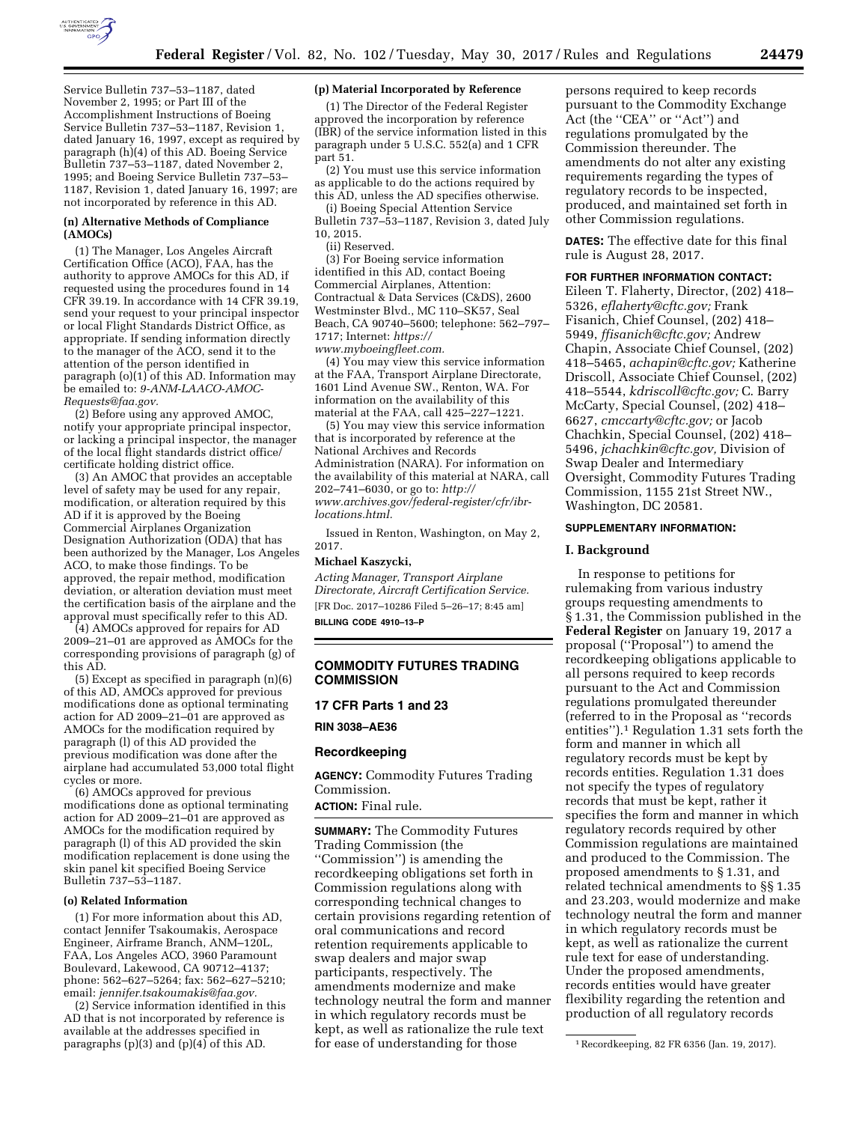

Service Bulletin 737–53–1187, dated November 2, 1995; or Part III of the Accomplishment Instructions of Boeing Service Bulletin 737–53–1187, Revision 1, dated January 16, 1997, except as required by paragraph (h)(4) of this AD. Boeing Service Bulletin 737–53–1187, dated November 2, 1995; and Boeing Service Bulletin 737–53– 1187, Revision 1, dated January 16, 1997; are not incorporated by reference in this AD.

## **(n) Alternative Methods of Compliance (AMOCs)**

(1) The Manager, Los Angeles Aircraft Certification Office (ACO), FAA, has the authority to approve AMOCs for this AD, if requested using the procedures found in 14 CFR 39.19. In accordance with 14 CFR 39.19, send your request to your principal inspector or local Flight Standards District Office, as appropriate. If sending information directly to the manager of the ACO, send it to the attention of the person identified in paragraph (o)(1) of this AD. Information may be emailed to: *[9-ANM-LAACO-AMOC-](mailto:9-ANM-LAACO-AMOC-Requests@faa.gov)[Requests@faa.gov.](mailto:9-ANM-LAACO-AMOC-Requests@faa.gov)* 

(2) Before using any approved AMOC, notify your appropriate principal inspector, or lacking a principal inspector, the manager of the local flight standards district office/ certificate holding district office.

(3) An AMOC that provides an acceptable level of safety may be used for any repair, modification, or alteration required by this AD if it is approved by the Boeing Commercial Airplanes Organization Designation Authorization (ODA) that has been authorized by the Manager, Los Angeles ACO, to make those findings. To be approved, the repair method, modification deviation, or alteration deviation must meet the certification basis of the airplane and the approval must specifically refer to this AD.

(4) AMOCs approved for repairs for AD 2009–21–01 are approved as AMOCs for the corresponding provisions of paragraph (g) of this AD.

(5) Except as specified in paragraph (n)(6) of this AD, AMOCs approved for previous modifications done as optional terminating action for AD 2009–21–01 are approved as AMOCs for the modification required by paragraph (l) of this AD provided the previous modification was done after the airplane had accumulated 53,000 total flight cycles or more.

(6) AMOCs approved for previous modifications done as optional terminating action for AD 2009–21–01 are approved as AMOCs for the modification required by paragraph (l) of this AD provided the skin modification replacement is done using the skin panel kit specified Boeing Service Bulletin 737–53–1187.

#### **(o) Related Information**

(1) For more information about this AD, contact Jennifer Tsakoumakis, Aerospace Engineer, Airframe Branch, ANM–120L, FAA, Los Angeles ACO, 3960 Paramount Boulevard, Lakewood, CA 90712–4137; phone: 562–627–5264; fax: 562–627–5210; email: *[jennifer.tsakoumakis@faa.gov.](mailto:jennifer.tsakoumakis@faa.gov)* 

(2) Service information identified in this AD that is not incorporated by reference is available at the addresses specified in paragraphs (p)(3) and (p)(4) of this AD.

### **(p) Material Incorporated by Reference**

(1) The Director of the Federal Register approved the incorporation by reference (IBR) of the service information listed in this paragraph under 5 U.S.C. 552(a) and 1 CFR part 51.

(2) You must use this service information as applicable to do the actions required by this AD, unless the AD specifies otherwise.

(i) Boeing Special Attention Service Bulletin 737–53–1187, Revision 3, dated July 10, 2015.

(ii) Reserved.

(3) For Boeing service information identified in this AD, contact Boeing Commercial Airplanes, Attention: Contractual & Data Services (C&DS), 2600 Westminster Blvd., MC 110–SK57, Seal Beach, CA 90740–5600; telephone: 562–797– 1717; Internet: *[https://](https://www.myboeingfleet.com)*

*[www.myboeingfleet.com.](https://www.myboeingfleet.com)* 

(4) You may view this service information at the FAA, Transport Airplane Directorate, 1601 Lind Avenue SW., Renton, WA. For information on the availability of this material at the FAA, call 425–227–1221.

(5) You may view this service information that is incorporated by reference at the National Archives and Records Administration (NARA). For information on the availability of this material at NARA, call 202–741–6030, or go to: *[http://](http://www.archives.gov/federal-register/cfr/ibr-locations.html) [www.archives.gov/federal-register/cfr/ibr](http://www.archives.gov/federal-register/cfr/ibr-locations.html)[locations.html.](http://www.archives.gov/federal-register/cfr/ibr-locations.html)* 

Issued in Renton, Washington, on May 2, 2017.

### **Michael Kaszycki,**

*Acting Manager, Transport Airplane Directorate, Aircraft Certification Service.*  [FR Doc. 2017–10286 Filed 5–26–17; 8:45 am] **BILLING CODE 4910–13–P** 

# **COMMODITY FUTURES TRADING COMMISSION**

# **17 CFR Parts 1 and 23**

**RIN 3038–AE36** 

#### **Recordkeeping**

**AGENCY:** Commodity Futures Trading Commission.

**ACTION:** Final rule.

**SUMMARY:** The Commodity Futures Trading Commission (the ''Commission'') is amending the recordkeeping obligations set forth in Commission regulations along with corresponding technical changes to certain provisions regarding retention of oral communications and record retention requirements applicable to swap dealers and major swap participants, respectively. The amendments modernize and make technology neutral the form and manner in which regulatory records must be kept, as well as rationalize the rule text for ease of understanding for those

persons required to keep records pursuant to the Commodity Exchange Act (the "CEA" or "Act") and regulations promulgated by the Commission thereunder. The amendments do not alter any existing requirements regarding the types of regulatory records to be inspected, produced, and maintained set forth in other Commission regulations.

**DATES:** The effective date for this final rule is August 28, 2017.

**FOR FURTHER INFORMATION CONTACT:**  Eileen T. Flaherty, Director, (202) 418– 5326, *[eflaherty@cftc.gov;](mailto:eflaherty@cftc.gov)* Frank Fisanich, Chief Counsel, (202) 418– 5949, *[ffisanich@cftc.gov;](mailto:ffisanich@cftc.gov)* Andrew Chapin, Associate Chief Counsel, (202) 418–5465, *[achapin@cftc.gov;](mailto:achapin@cftc.gov)* Katherine Driscoll, Associate Chief Counsel, (202) 418–5544, *[kdriscoll@cftc.gov;](mailto:kdriscoll@cftc.gov)* C. Barry McCarty, Special Counsel, (202) 418– 6627, *[cmccarty@cftc.gov;](mailto:cmccarty@cftc.gov)* or Jacob Chachkin, Special Counsel, (202) 418– 5496, *[jchachkin@cftc.gov,](mailto:jchachkin@cftc.gov)* Division of Swap Dealer and Intermediary Oversight, Commodity Futures Trading Commission, 1155 21st Street NW., Washington, DC 20581.

### **SUPPLEMENTARY INFORMATION:**

#### **I. Background**

In response to petitions for rulemaking from various industry groups requesting amendments to § 1.31, the Commission published in the **Federal Register** on January 19, 2017 a proposal (''Proposal'') to amend the recordkeeping obligations applicable to all persons required to keep records pursuant to the Act and Commission regulations promulgated thereunder (referred to in the Proposal as ''records entities'').1 Regulation 1.31 sets forth the form and manner in which all regulatory records must be kept by records entities. Regulation 1.31 does not specify the types of regulatory records that must be kept, rather it specifies the form and manner in which regulatory records required by other Commission regulations are maintained and produced to the Commission. The proposed amendments to § 1.31, and related technical amendments to §§ 1.35 and 23.203, would modernize and make technology neutral the form and manner in which regulatory records must be kept, as well as rationalize the current rule text for ease of understanding. Under the proposed amendments, records entities would have greater flexibility regarding the retention and production of all regulatory records

<sup>1</sup>Recordkeeping, 82 FR 6356 (Jan. 19, 2017).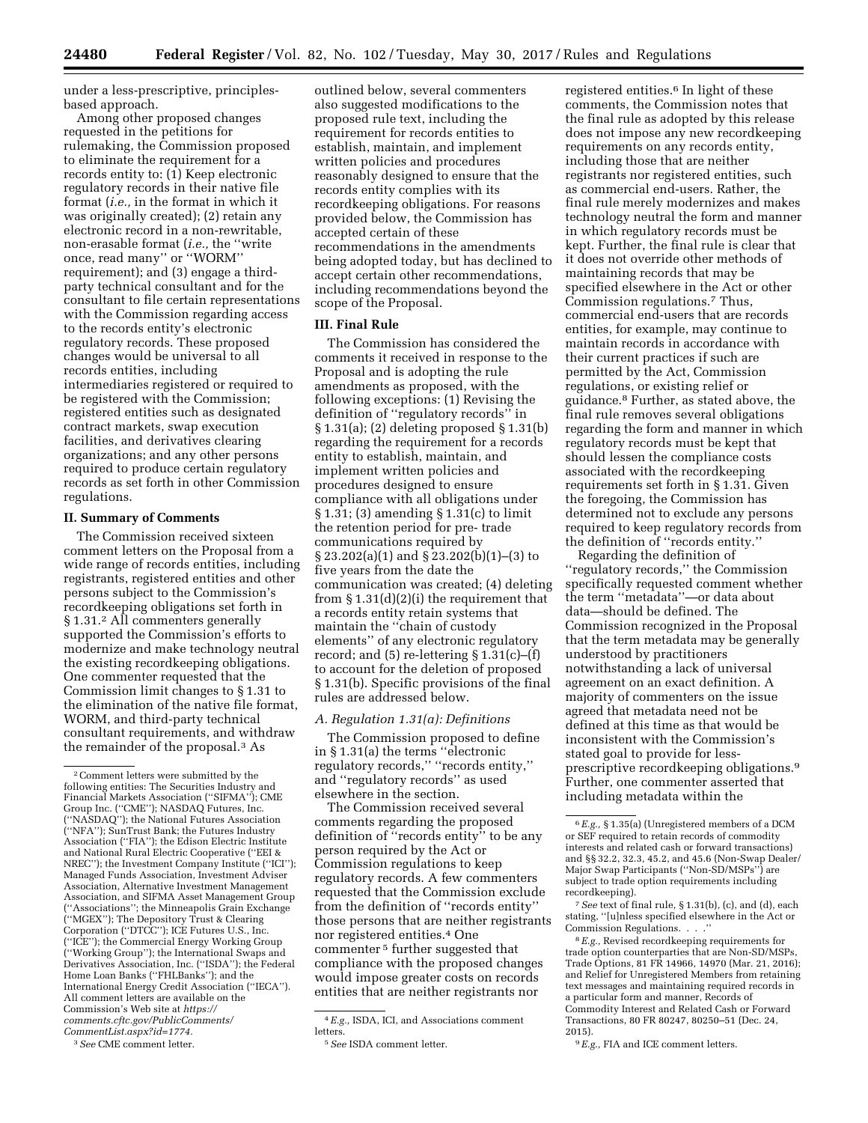under a less-prescriptive, principlesbased approach.

Among other proposed changes requested in the petitions for rulemaking, the Commission proposed to eliminate the requirement for a records entity to: (1) Keep electronic regulatory records in their native file format (*i.e.,* in the format in which it was originally created); (2) retain any electronic record in a non-rewritable, non-erasable format (*i.e.,* the ''write once, read many'' or ''WORM'' requirement); and (3) engage a thirdparty technical consultant and for the consultant to file certain representations with the Commission regarding access to the records entity's electronic regulatory records. These proposed changes would be universal to all records entities, including intermediaries registered or required to be registered with the Commission; registered entities such as designated contract markets, swap execution facilities, and derivatives clearing organizations; and any other persons required to produce certain regulatory records as set forth in other Commission regulations.

### **II. Summary of Comments**

The Commission received sixteen comment letters on the Proposal from a wide range of records entities, including registrants, registered entities and other persons subject to the Commission's recordkeeping obligations set forth in § 1.31.2 All commenters generally supported the Commission's efforts to modernize and make technology neutral the existing recordkeeping obligations. One commenter requested that the Commission limit changes to § 1.31 to the elimination of the native file format, WORM, and third-party technical consultant requirements, and withdraw the remainder of the proposal.3 As

outlined below, several commenters also suggested modifications to the proposed rule text, including the requirement for records entities to establish, maintain, and implement written policies and procedures reasonably designed to ensure that the records entity complies with its recordkeeping obligations. For reasons provided below, the Commission has accepted certain of these recommendations in the amendments being adopted today, but has declined to accept certain other recommendations, including recommendations beyond the scope of the Proposal.

## **III. Final Rule**

The Commission has considered the comments it received in response to the Proposal and is adopting the rule amendments as proposed, with the following exceptions: (1) Revising the definition of ''regulatory records'' in § 1.31(a); (2) deleting proposed § 1.31(b) regarding the requirement for a records entity to establish, maintain, and implement written policies and procedures designed to ensure compliance with all obligations under § 1.31; (3) amending § 1.31(c) to limit the retention period for pre- trade communications required by § 23.202(a)(1) and § 23.202(b)(1)–(3) to five years from the date the communication was created; (4) deleting from § 1.31(d)(2)(i) the requirement that a records entity retain systems that maintain the ''chain of custody elements'' of any electronic regulatory record; and  $(5)$  re-lettering  $§ 1.31(c)–(f)$ to account for the deletion of proposed § 1.31(b). Specific provisions of the final rules are addressed below.

### *A. Regulation 1.31(a): Definitions*

The Commission proposed to define in § 1.31(a) the terms ''electronic regulatory records,'' ''records entity,'' and ''regulatory records'' as used elsewhere in the section.

The Commission received several comments regarding the proposed definition of ''records entity'' to be any person required by the Act or Commission regulations to keep regulatory records. A few commenters requested that the Commission exclude from the definition of ''records entity'' those persons that are neither registrants nor registered entities.4 One commenter 5 further suggested that compliance with the proposed changes would impose greater costs on records entities that are neither registrants nor

registered entities.<sup>6</sup> In light of these comments, the Commission notes that the final rule as adopted by this release does not impose any new recordkeeping requirements on any records entity, including those that are neither registrants nor registered entities, such as commercial end-users. Rather, the final rule merely modernizes and makes technology neutral the form and manner in which regulatory records must be kept. Further, the final rule is clear that it does not override other methods of maintaining records that may be specified elsewhere in the Act or other Commission regulations.7 Thus, commercial end-users that are records entities, for example, may continue to maintain records in accordance with their current practices if such are permitted by the Act, Commission regulations, or existing relief or guidance.8 Further, as stated above, the final rule removes several obligations regarding the form and manner in which regulatory records must be kept that should lessen the compliance costs associated with the recordkeeping requirements set forth in § 1.31. Given the foregoing, the Commission has determined not to exclude any persons required to keep regulatory records from the definition of ''records entity.''

Regarding the definition of ''regulatory records,'' the Commission specifically requested comment whether the term ''metadata''—or data about data—should be defined. The Commission recognized in the Proposal that the term metadata may be generally understood by practitioners notwithstanding a lack of universal agreement on an exact definition. A majority of commenters on the issue agreed that metadata need not be defined at this time as that would be inconsistent with the Commission's stated goal to provide for lessprescriptive recordkeeping obligations.9 Further, one commenter asserted that including metadata within the

7*See* text of final rule, § 1.31(b), (c), and (d), each stating, ''[u]nless specified elsewhere in the Act or Commission Regulations. . . .''

8*E.g.,* Revised recordkeeping requirements for trade option counterparties that are Non-SD/MSPs, Trade Options, 81 FR 14966, 14970 (Mar. 21, 2016); and Relief for Unregistered Members from retaining text messages and maintaining required records in a particular form and manner, Records of Commodity Interest and Related Cash or Forward Transactions, 80 FR 80247, 80250–51 (Dec. 24, 2015).

9*E.g.,* FIA and ICE comment letters.

<sup>2</sup>Comment letters were submitted by the following entities: The Securities Industry and Financial Markets Association (''SIFMA''); CME Group Inc. (''CME''); NASDAQ Futures, Inc. (''NASDAQ''); the National Futures Association (''NFA''); SunTrust Bank; the Futures Industry Association (''FIA''); the Edison Electric Institute and National Rural Electric Cooperative (''EEI & NREC''); the Investment Company Institute (''ICI''); Managed Funds Association, Investment Adviser Association, Alternative Investment Management Association, and SIFMA Asset Management Group (''Associations''; the Minneapolis Grain Exchange (''MGEX''); The Depository Trust & Clearing Corporation (''DTCC''); ICE Futures U.S., Inc. (''ICE''); the Commercial Energy Working Group (''Working Group''); the International Swaps and Derivatives Association, Inc. (''ISDA''); the Federal Home Loan Banks (''FHLBanks''); and the International Energy Credit Association (''IECA''). All comment letters are available on the Commission's Web site at *[https://](https://comments.cftc.gov/PublicComments/CommentList.aspx?id=1774) [comments.cftc.gov/PublicComments/](https://comments.cftc.gov/PublicComments/CommentList.aspx?id=1774)  [CommentList.aspx?id=1774.](https://comments.cftc.gov/PublicComments/CommentList.aspx?id=1774)* 

<sup>3</sup>*See* CME comment letter.

<sup>4</sup>*E.g.,* ISDA, ICI, and Associations comment **letters** 

<sup>5</sup>*See* ISDA comment letter.

<sup>6</sup>*E.g.,* § 1.35(a) (Unregistered members of a DCM or SEF required to retain records of commodity interests and related cash or forward transactions) and §§ 32.2, 32.3, 45.2, and 45.6 (Non-Swap Dealer/ Major Swap Participants (''Non-SD/MSPs'') are subject to trade option requirements including recordkeeping).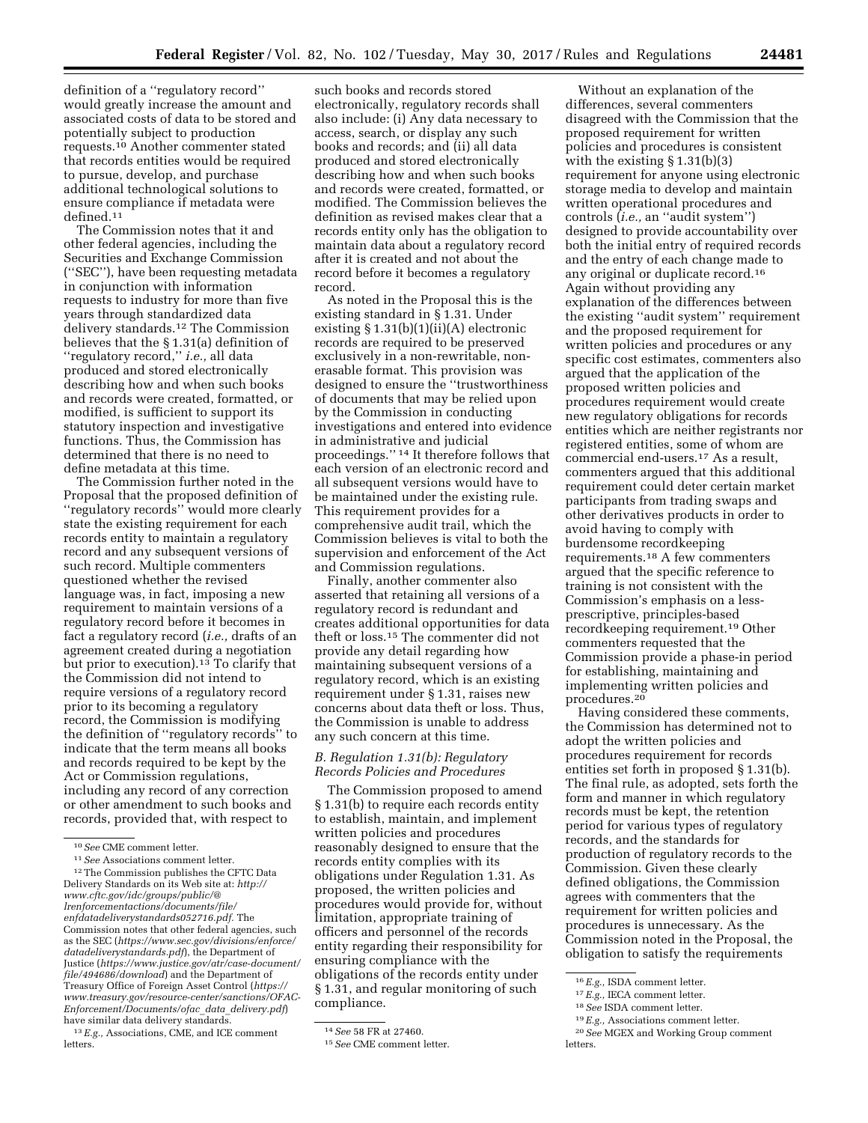definition of a ''regulatory record'' would greatly increase the amount and associated costs of data to be stored and potentially subject to production requests.10 Another commenter stated that records entities would be required to pursue, develop, and purchase additional technological solutions to ensure compliance if metadata were defined.11

The Commission notes that it and other federal agencies, including the Securities and Exchange Commission (''SEC''), have been requesting metadata in conjunction with information requests to industry for more than five years through standardized data delivery standards.12 The Commission believes that the § 1.31(a) definition of ''regulatory record,'' *i.e.,* all data produced and stored electronically describing how and when such books and records were created, formatted, or modified, is sufficient to support its statutory inspection and investigative functions. Thus, the Commission has determined that there is no need to define metadata at this time.

The Commission further noted in the Proposal that the proposed definition of ''regulatory records'' would more clearly state the existing requirement for each records entity to maintain a regulatory record and any subsequent versions of such record. Multiple commenters questioned whether the revised language was, in fact, imposing a new requirement to maintain versions of a regulatory record before it becomes in fact a regulatory record (*i.e.,* drafts of an agreement created during a negotiation but prior to execution).<sup>13</sup> To clarify that the Commission did not intend to require versions of a regulatory record prior to its becoming a regulatory record, the Commission is modifying the definition of ''regulatory records'' to indicate that the term means all books and records required to be kept by the Act or Commission regulations, including any record of any correction or other amendment to such books and records, provided that, with respect to

13*E.g.,* Associations, CME, and ICE comment letters.

such books and records stored electronically, regulatory records shall also include: (i) Any data necessary to access, search, or display any such books and records; and (ii) all data produced and stored electronically describing how and when such books and records were created, formatted, or modified. The Commission believes the definition as revised makes clear that a records entity only has the obligation to maintain data about a regulatory record after it is created and not about the record before it becomes a regulatory record.

As noted in the Proposal this is the existing standard in § 1.31. Under existing  $\S 1.31(b)(1)(ii)(A)$  electronic records are required to be preserved exclusively in a non-rewritable, nonerasable format. This provision was designed to ensure the ''trustworthiness of documents that may be relied upon by the Commission in conducting investigations and entered into evidence in administrative and judicial proceedings.'' 14 It therefore follows that each version of an electronic record and all subsequent versions would have to be maintained under the existing rule. This requirement provides for a comprehensive audit trail, which the Commission believes is vital to both the supervision and enforcement of the Act and Commission regulations.

Finally, another commenter also asserted that retaining all versions of a regulatory record is redundant and creates additional opportunities for data theft or loss.15 The commenter did not provide any detail regarding how maintaining subsequent versions of a regulatory record, which is an existing requirement under § 1.31, raises new concerns about data theft or loss. Thus, the Commission is unable to address any such concern at this time.

# *B. Regulation 1.31(b): Regulatory Records Policies and Procedures*

The Commission proposed to amend § 1.31(b) to require each records entity to establish, maintain, and implement written policies and procedures reasonably designed to ensure that the records entity complies with its obligations under Regulation 1.31. As proposed, the written policies and procedures would provide for, without limitation, appropriate training of officers and personnel of the records entity regarding their responsibility for ensuring compliance with the obligations of the records entity under § 1.31, and regular monitoring of such compliance.

Without an explanation of the differences, several commenters disagreed with the Commission that the proposed requirement for written policies and procedures is consistent with the existing § 1.31(b)(3) requirement for anyone using electronic storage media to develop and maintain written operational procedures and controls (*i.e.,* an ''audit system'') designed to provide accountability over both the initial entry of required records and the entry of each change made to any original or duplicate record.16 Again without providing any explanation of the differences between the existing ''audit system'' requirement and the proposed requirement for written policies and procedures or any specific cost estimates, commenters also argued that the application of the proposed written policies and procedures requirement would create new regulatory obligations for records entities which are neither registrants nor registered entities, some of whom are commercial end-users.17 As a result, commenters argued that this additional requirement could deter certain market participants from trading swaps and other derivatives products in order to avoid having to comply with burdensome recordkeeping requirements.18 A few commenters argued that the specific reference to training is not consistent with the Commission's emphasis on a lessprescriptive, principles-based recordkeeping requirement.19 Other commenters requested that the Commission provide a phase-in period for establishing, maintaining and implementing written policies and procedures.20

Having considered these comments, the Commission has determined not to adopt the written policies and procedures requirement for records entities set forth in proposed § 1.31(b). The final rule, as adopted, sets forth the form and manner in which regulatory records must be kept, the retention period for various types of regulatory records, and the standards for production of regulatory records to the Commission. Given these clearly defined obligations, the Commission agrees with commenters that the requirement for written policies and procedures is unnecessary. As the Commission noted in the Proposal, the obligation to satisfy the requirements

<sup>10</sup>*See* CME comment letter.

<sup>11</sup>*See* Associations comment letter.

<sup>12</sup>The Commission publishes the CFTC Data Delivery Standards on its Web site at: *[http://](http://www.cftc.gov/idc/groups/public/@lrenforcementactions/documents/file/enfdatadeliverystandards052716.pdf) www.cftc.gov/idc/groups/public/@ [lrenforcementactions/documents/file/](http://www.cftc.gov/idc/groups/public/@lrenforcementactions/documents/file/enfdatadeliverystandards052716.pdf)  enfdatadeliverystandards052716.pdf.* The Commission notes that other federal agencies, such as the SEC (*[https://www.sec.gov/divisions/enforce/](https://www.sec.gov/divisions/enforce/datadeliverystandards.pdf)  [datadeliverystandards.pdf](https://www.sec.gov/divisions/enforce/datadeliverystandards.pdf)*), the Department of Justice (*[https://www.justice.gov/atr/case-document/](https://www.justice.gov/atr/case-document/file/494686/download)  [file/494686/download](https://www.justice.gov/atr/case-document/file/494686/download)*) and the Department of Treasury Office of Foreign Asset Control (*[https://](https://www.treasury.gov/resource-center/sanctions/OFAC-Enforcement/Documents/ofac_data_delivery.pdf) [www.treasury.gov/resource-center/sanctions/OFAC-](https://www.treasury.gov/resource-center/sanctions/OFAC-Enforcement/Documents/ofac_data_delivery.pdf)[Enforcement/Documents/ofac](https://www.treasury.gov/resource-center/sanctions/OFAC-Enforcement/Documents/ofac_data_delivery.pdf)*\_*data*\_*delivery.pdf*) have similar data delivery standards.

<sup>14</sup>*See* 58 FR at 27460.

<sup>15</sup>*See* CME comment letter.

<sup>16</sup>*E.g.,* ISDA comment letter.

<sup>17</sup>*E.g.,* IECA comment letter.

<sup>18</sup>*See* ISDA comment letter.

<sup>19</sup>*E.g.,* Associations comment letter.

<sup>20</sup>*See* MGEX and Working Group comment letters.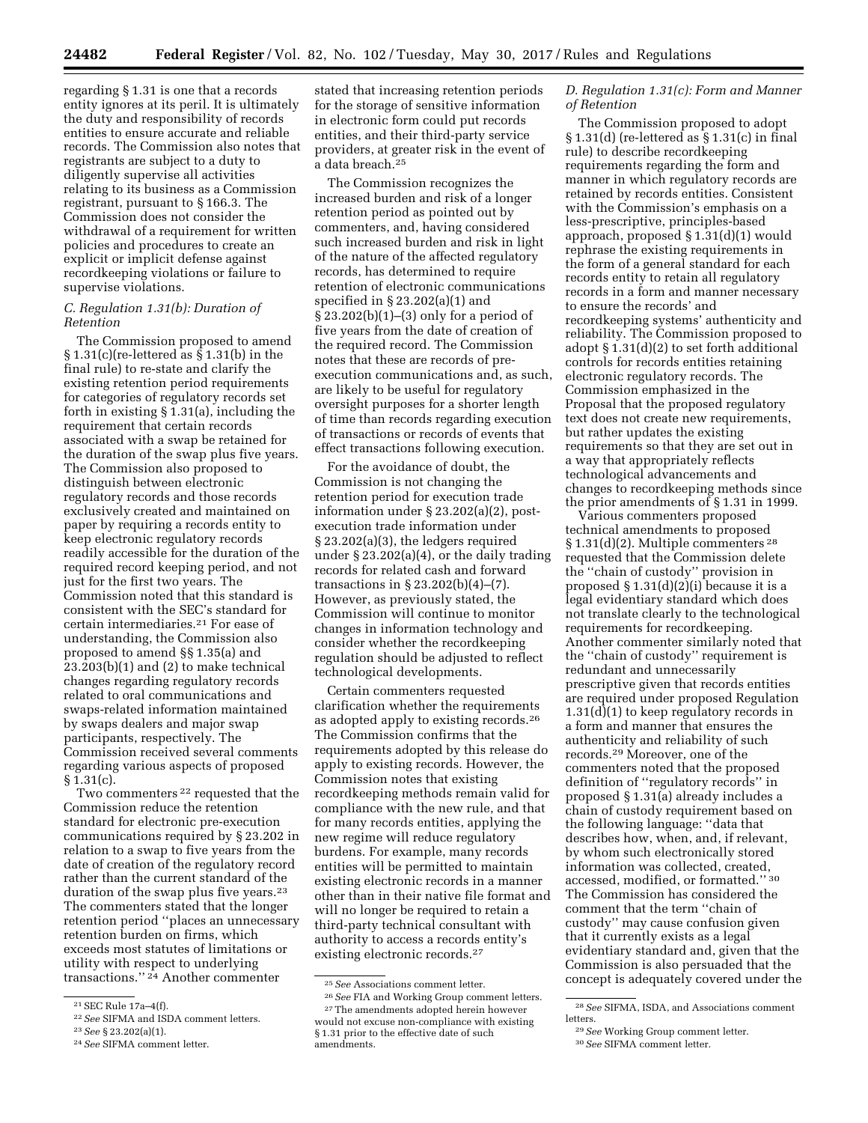regarding § 1.31 is one that a records entity ignores at its peril. It is ultimately the duty and responsibility of records entities to ensure accurate and reliable records. The Commission also notes that registrants are subject to a duty to diligently supervise all activities relating to its business as a Commission registrant, pursuant to § 166.3. The Commission does not consider the withdrawal of a requirement for written policies and procedures to create an explicit or implicit defense against recordkeeping violations or failure to supervise violations.

### *C. Regulation 1.31(b): Duration of Retention*

The Commission proposed to amend § 1.31(c)(re-lettered as § 1.31(b) in the final rule) to re-state and clarify the existing retention period requirements for categories of regulatory records set forth in existing § 1.31(a), including the requirement that certain records associated with a swap be retained for the duration of the swap plus five years. The Commission also proposed to distinguish between electronic regulatory records and those records exclusively created and maintained on paper by requiring a records entity to keep electronic regulatory records readily accessible for the duration of the required record keeping period, and not just for the first two years. The Commission noted that this standard is consistent with the SEC's standard for certain intermediaries.21 For ease of understanding, the Commission also proposed to amend §§ 1.35(a) and  $23.203(b)(1)$  and  $(2)$  to make technical changes regarding regulatory records related to oral communications and swaps-related information maintained by swaps dealers and major swap participants, respectively. The Commission received several comments regarding various aspects of proposed  $§ 1.31(c).$ 

Two commenters 22 requested that the Commission reduce the retention standard for electronic pre-execution communications required by § 23.202 in relation to a swap to five years from the date of creation of the regulatory record rather than the current standard of the duration of the swap plus five years.<sup>23</sup> The commenters stated that the longer retention period ''places an unnecessary retention burden on firms, which exceeds most statutes of limitations or utility with respect to underlying transactions.'' 24 Another commenter

stated that increasing retention periods for the storage of sensitive information in electronic form could put records entities, and their third-party service providers, at greater risk in the event of a data breach.25

The Commission recognizes the increased burden and risk of a longer retention period as pointed out by commenters, and, having considered such increased burden and risk in light of the nature of the affected regulatory records, has determined to require retention of electronic communications specified in § 23.202(a)(1) and § 23.202(b)(1)–(3) only for a period of five years from the date of creation of the required record. The Commission notes that these are records of preexecution communications and, as such, are likely to be useful for regulatory oversight purposes for a shorter length of time than records regarding execution of transactions or records of events that effect transactions following execution.

For the avoidance of doubt, the Commission is not changing the retention period for execution trade information under § 23.202(a)(2), postexecution trade information under § 23.202(a)(3), the ledgers required under § 23.202(a)(4), or the daily trading records for related cash and forward transactions in § 23.202(b)(4)–(7). However, as previously stated, the Commission will continue to monitor changes in information technology and consider whether the recordkeeping regulation should be adjusted to reflect technological developments.

Certain commenters requested clarification whether the requirements as adopted apply to existing records.26 The Commission confirms that the requirements adopted by this release do apply to existing records. However, the Commission notes that existing recordkeeping methods remain valid for compliance with the new rule, and that for many records entities, applying the new regime will reduce regulatory burdens. For example, many records entities will be permitted to maintain existing electronic records in a manner other than in their native file format and will no longer be required to retain a third-party technical consultant with authority to access a records entity's existing electronic records.27

26*See* FIA and Working Group comment letters. 27The amendments adopted herein however

# *D. Regulation 1.31(c): Form and Manner of Retention*

The Commission proposed to adopt § 1.31(d) (re-lettered as § 1.31(c) in final rule) to describe recordkeeping requirements regarding the form and manner in which regulatory records are retained by records entities. Consistent with the Commission's emphasis on a less-prescriptive, principles-based approach, proposed § 1.31(d)(1) would rephrase the existing requirements in the form of a general standard for each records entity to retain all regulatory records in a form and manner necessary to ensure the records' and recordkeeping systems' authenticity and reliability. The Commission proposed to adopt § 1.31(d)(2) to set forth additional controls for records entities retaining electronic regulatory records. The Commission emphasized in the Proposal that the proposed regulatory text does not create new requirements, but rather updates the existing requirements so that they are set out in a way that appropriately reflects technological advancements and changes to recordkeeping methods since the prior amendments of § 1.31 in 1999.

Various commenters proposed technical amendments to proposed § 1.31(d)(2). Multiple commenters <sup>28</sup> requested that the Commission delete the ''chain of custody'' provision in proposed § 1.31(d)(2)(i) because it is a legal evidentiary standard which does not translate clearly to the technological requirements for recordkeeping. Another commenter similarly noted that the ''chain of custody'' requirement is redundant and unnecessarily prescriptive given that records entities are required under proposed Regulation 1.31(d)(1) to keep regulatory records in a form and manner that ensures the authenticity and reliability of such records.29 Moreover, one of the commenters noted that the proposed definition of ''regulatory records'' in proposed § 1.31(a) already includes a chain of custody requirement based on the following language: ''data that describes how, when, and, if relevant, by whom such electronically stored information was collected, created, accessed, modified, or formatted.'' 30 The Commission has considered the comment that the term ''chain of custody'' may cause confusion given that it currently exists as a legal evidentiary standard and, given that the Commission is also persuaded that the concept is adequately covered under the

<sup>21</sup>SEC Rule 17a–4(f).

<sup>22</sup>*See* SIFMA and ISDA comment letters.

<sup>23</sup>*See* § 23.202(a)(1).

<sup>24</sup>*See* SIFMA comment letter.

<sup>25</sup>*See* Associations comment letter.

would not excuse non-compliance with existing § 1.31 prior to the effective date of such amendments.

<sup>28</sup>*See* SIFMA, ISDA, and Associations comment letters.

<sup>29</sup>*See* Working Group comment letter.

<sup>30</sup>*See* SIFMA comment letter.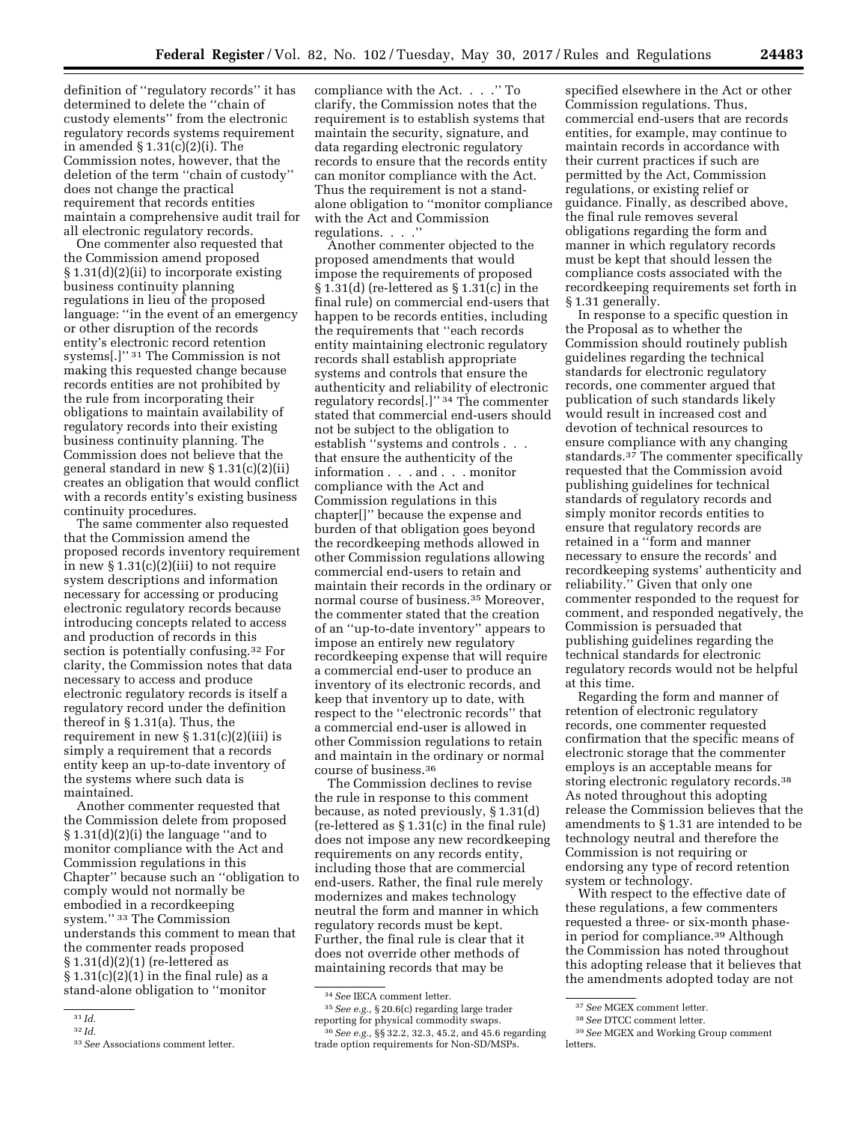definition of ''regulatory records'' it has determined to delete the ''chain of custody elements'' from the electronic regulatory records systems requirement in amended § 1.31(c)(2)(i). The Commission notes, however, that the deletion of the term ''chain of custody'' does not change the practical requirement that records entities maintain a comprehensive audit trail for all electronic regulatory records.

One commenter also requested that the Commission amend proposed § 1.31(d)(2)(ii) to incorporate existing business continuity planning regulations in lieu of the proposed language: ''in the event of an emergency or other disruption of the records entity's electronic record retention systems[.]'' 31 The Commission is not making this requested change because records entities are not prohibited by the rule from incorporating their obligations to maintain availability of regulatory records into their existing business continuity planning. The Commission does not believe that the general standard in new § 1.31(c)(2)(ii) creates an obligation that would conflict with a records entity's existing business continuity procedures.

The same commenter also requested that the Commission amend the proposed records inventory requirement in new  $\S 1.31(c)(2)(iii)$  to not require system descriptions and information necessary for accessing or producing electronic regulatory records because introducing concepts related to access and production of records in this section is potentially confusing.32 For clarity, the Commission notes that data necessary to access and produce electronic regulatory records is itself a regulatory record under the definition thereof in § 1.31(a). Thus, the requirement in new  $\S 1.31(c)(2)(iii)$  is simply a requirement that a records entity keep an up-to-date inventory of the systems where such data is maintained.

Another commenter requested that the Commission delete from proposed § 1.31(d)(2)(i) the language ''and to monitor compliance with the Act and Commission regulations in this Chapter'' because such an ''obligation to comply would not normally be embodied in a recordkeeping system.'' 33 The Commission understands this comment to mean that the commenter reads proposed § 1.31(d)(2)(1) (re-lettered as  $§ 1.31(c)(2)(1)$  in the final rule) as a stand-alone obligation to ''monitor

compliance with the Act. . . .'' To clarify, the Commission notes that the requirement is to establish systems that maintain the security, signature, and data regarding electronic regulatory records to ensure that the records entity can monitor compliance with the Act. Thus the requirement is not a standalone obligation to ''monitor compliance with the Act and Commission regulations. . . .''

Another commenter objected to the proposed amendments that would impose the requirements of proposed § 1.31(d) (re-lettered as § 1.31(c) in the final rule) on commercial end-users that happen to be records entities, including the requirements that ''each records entity maintaining electronic regulatory records shall establish appropriate systems and controls that ensure the authenticity and reliability of electronic regulatory records[.]'' 34 The commenter stated that commercial end-users should not be subject to the obligation to establish ''systems and controls . . . that ensure the authenticity of the information . . . and . . . monitor compliance with the Act and Commission regulations in this chapter[]'' because the expense and burden of that obligation goes beyond the recordkeeping methods allowed in other Commission regulations allowing commercial end-users to retain and maintain their records in the ordinary or normal course of business.35 Moreover, the commenter stated that the creation of an ''up-to-date inventory'' appears to impose an entirely new regulatory recordkeeping expense that will require a commercial end-user to produce an inventory of its electronic records, and keep that inventory up to date, with respect to the ''electronic records'' that a commercial end-user is allowed in other Commission regulations to retain and maintain in the ordinary or normal course of business.36

The Commission declines to revise the rule in response to this comment because, as noted previously, § 1.31(d) (re-lettered as § 1.31(c) in the final rule) does not impose any new recordkeeping requirements on any records entity, including those that are commercial end-users. Rather, the final rule merely modernizes and makes technology neutral the form and manner in which regulatory records must be kept. Further, the final rule is clear that it does not override other methods of maintaining records that may be

35*See e.g.,* § 20.6(c) regarding large trader reporting for physical commodity swaps. 36*See e.g.,* §§ 32.2, 32.3, 45.2, and 45.6 regarding

trade option requirements for Non-SD/MSPs.

specified elsewhere in the Act or other Commission regulations. Thus, commercial end-users that are records entities, for example, may continue to maintain records in accordance with their current practices if such are permitted by the Act, Commission regulations, or existing relief or guidance. Finally, as described above, the final rule removes several obligations regarding the form and manner in which regulatory records must be kept that should lessen the compliance costs associated with the recordkeeping requirements set forth in § 1.31 generally.

In response to a specific question in the Proposal as to whether the Commission should routinely publish guidelines regarding the technical standards for electronic regulatory records, one commenter argued that publication of such standards likely would result in increased cost and devotion of technical resources to ensure compliance with any changing standards.37 The commenter specifically requested that the Commission avoid publishing guidelines for technical standards of regulatory records and simply monitor records entities to ensure that regulatory records are retained in a ''form and manner necessary to ensure the records' and recordkeeping systems' authenticity and reliability.'' Given that only one commenter responded to the request for comment, and responded negatively, the Commission is persuaded that publishing guidelines regarding the technical standards for electronic regulatory records would not be helpful at this time.

Regarding the form and manner of retention of electronic regulatory records, one commenter requested confirmation that the specific means of electronic storage that the commenter employs is an acceptable means for storing electronic regulatory records.38 As noted throughout this adopting release the Commission believes that the amendments to § 1.31 are intended to be technology neutral and therefore the Commission is not requiring or endorsing any type of record retention system or technology.

With respect to the effective date of these regulations, a few commenters requested a three- or six-month phasein period for compliance.39 Although the Commission has noted throughout this adopting release that it believes that the amendments adopted today are not

<sup>31</sup> *Id.* 

<sup>32</sup> *Id.* 

<sup>33</sup>*See* Associations comment letter.

<sup>34</sup>*See* IECA comment letter.

<sup>37</sup>*See* MGEX comment letter.

<sup>38</sup>*See* DTCC comment letter.

<sup>39</sup>*See* MGEX and Working Group comment letters.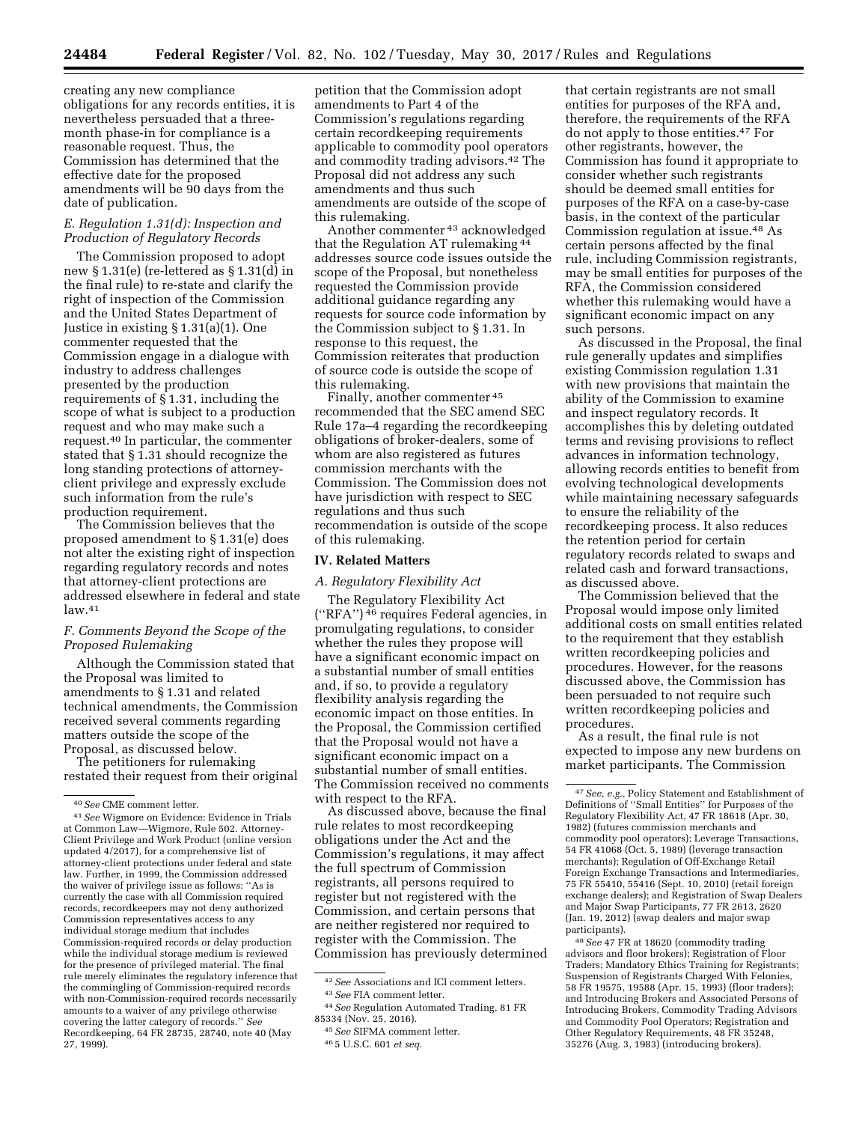creating any new compliance obligations for any records entities, it is nevertheless persuaded that a threemonth phase-in for compliance is a reasonable request. Thus, the Commission has determined that the effective date for the proposed amendments will be 90 days from the date of publication.

# *E. Regulation 1.31(d): Inspection and Production of Regulatory Records*

The Commission proposed to adopt new § 1.31(e) (re-lettered as § 1.31(d) in the final rule) to re-state and clarify the right of inspection of the Commission and the United States Department of Justice in existing § 1.31(a)(1). One commenter requested that the Commission engage in a dialogue with industry to address challenges presented by the production requirements of § 1.31, including the scope of what is subject to a production request and who may make such a request.40 In particular, the commenter stated that § 1.31 should recognize the long standing protections of attorneyclient privilege and expressly exclude such information from the rule's production requirement.

The Commission believes that the proposed amendment to § 1.31(e) does not alter the existing right of inspection regarding regulatory records and notes that attorney-client protections are addressed elsewhere in federal and state  $law.<sup>41</sup>$ 

# *F. Comments Beyond the Scope of the Proposed Rulemaking*

Although the Commission stated that the Proposal was limited to amendments to § 1.31 and related technical amendments, the Commission received several comments regarding matters outside the scope of the Proposal, as discussed below.

The petitioners for rulemaking restated their request from their original petition that the Commission adopt amendments to Part 4 of the Commission's regulations regarding certain recordkeeping requirements applicable to commodity pool operators and commodity trading advisors.42 The Proposal did not address any such amendments and thus such amendments are outside of the scope of this rulemaking.

Another commenter 43 acknowledged that the Regulation AT rulemaking <sup>44</sup> addresses source code issues outside the scope of the Proposal, but nonetheless requested the Commission provide additional guidance regarding any requests for source code information by the Commission subject to § 1.31. In response to this request, the Commission reiterates that production of source code is outside the scope of this rulemaking.

Finally, another commenter 45 recommended that the SEC amend SEC Rule 17a–4 regarding the recordkeeping obligations of broker-dealers, some of whom are also registered as futures commission merchants with the Commission. The Commission does not have jurisdiction with respect to SEC regulations and thus such recommendation is outside of the scope of this rulemaking.

## **IV. Related Matters**

## *A. Regulatory Flexibility Act*

The Regulatory Flexibility Act (''RFA'') 46 requires Federal agencies, in promulgating regulations, to consider whether the rules they propose will have a significant economic impact on a substantial number of small entities and, if so, to provide a regulatory flexibility analysis regarding the economic impact on those entities. In the Proposal, the Commission certified that the Proposal would not have a significant economic impact on a substantial number of small entities. The Commission received no comments with respect to the RFA.

As discussed above, because the final rule relates to most recordkeeping obligations under the Act and the Commission's regulations, it may affect the full spectrum of Commission registrants, all persons required to register but not registered with the Commission, and certain persons that are neither registered nor required to register with the Commission. The Commission has previously determined

that certain registrants are not small entities for purposes of the RFA and, therefore, the requirements of the RFA do not apply to those entities.47 For other registrants, however, the Commission has found it appropriate to consider whether such registrants should be deemed small entities for purposes of the RFA on a case-by-case basis, in the context of the particular Commission regulation at issue.48 As certain persons affected by the final rule, including Commission registrants, may be small entities for purposes of the RFA, the Commission considered whether this rulemaking would have a significant economic impact on any such persons.

As discussed in the Proposal, the final rule generally updates and simplifies existing Commission regulation 1.31 with new provisions that maintain the ability of the Commission to examine and inspect regulatory records. It accomplishes this by deleting outdated terms and revising provisions to reflect advances in information technology, allowing records entities to benefit from evolving technological developments while maintaining necessary safeguards to ensure the reliability of the recordkeeping process. It also reduces the retention period for certain regulatory records related to swaps and related cash and forward transactions, as discussed above.

The Commission believed that the Proposal would impose only limited additional costs on small entities related to the requirement that they establish written recordkeeping policies and procedures. However, for the reasons discussed above, the Commission has been persuaded to not require such written recordkeeping policies and procedures.

As a result, the final rule is not expected to impose any new burdens on market participants. The Commission

48*See* 47 FR at 18620 (commodity trading advisors and floor brokers); Registration of Floor Traders; Mandatory Ethics Training for Registrants; Suspension of Registrants Charged With Felonies, 58 FR 19575, 19588 (Apr. 15, 1993) (floor traders); and Introducing Brokers and Associated Persons of Introducing Brokers, Commodity Trading Advisors and Commodity Pool Operators; Registration and Other Regulatory Requirements, 48 FR 35248, 35276 (Aug. 3, 1983) (introducing brokers).

<sup>40</sup>*See* CME comment letter.

<sup>41</sup>*See* Wigmore on Evidence: Evidence in Trials at Common Law—Wigmore, Rule 502. Attorney-Client Privilege and Work Product (online version updated 4/2017), for a comprehensive list of attorney-client protections under federal and state law. Further, in 1999, the Commission addressed the waiver of privilege issue as follows: ''As is currently the case with all Commission required records, recordkeepers may not deny authorized Commission representatives access to any individual storage medium that includes Commission-required records or delay production while the individual storage medium is reviewed for the presence of privileged material. The final rule merely eliminates the regulatory inference that the commingling of Commission-required records with non-Commission-required records necessarily amounts to a waiver of any privilege otherwise covering the latter category of records.'' *See*  Recordkeeping, 64 FR 28735, 28740, note 40 (May 27, 1999).

<sup>42</sup>*See* Associations and ICI comment letters. 43*See* FIA comment letter.

<sup>44</sup>*See* Regulation Automated Trading, 81 FR 85334 (Nov. 25, 2016).

<sup>45</sup>*See* SIFMA comment letter.

<sup>46</sup> 5 U.S.C. 601 *et seq.* 

<sup>47</sup>*See, e.g.,* Policy Statement and Establishment of Definitions of ''Small Entities'' for Purposes of the Regulatory Flexibility Act, 47 FR 18618 (Apr. 30, 1982) (futures commission merchants and commodity pool operators); Leverage Transactions, 54 FR 41068 (Oct. 5, 1989) (leverage transaction merchants); Regulation of Off-Exchange Retail Foreign Exchange Transactions and Intermediaries, 75 FR 55410, 55416 (Sept. 10, 2010) (retail foreign exchange dealers); and Registration of Swap Dealers and Major Swap Participants, 77 FR 2613, 2620 (Jan. 19, 2012) (swap dealers and major swap participants).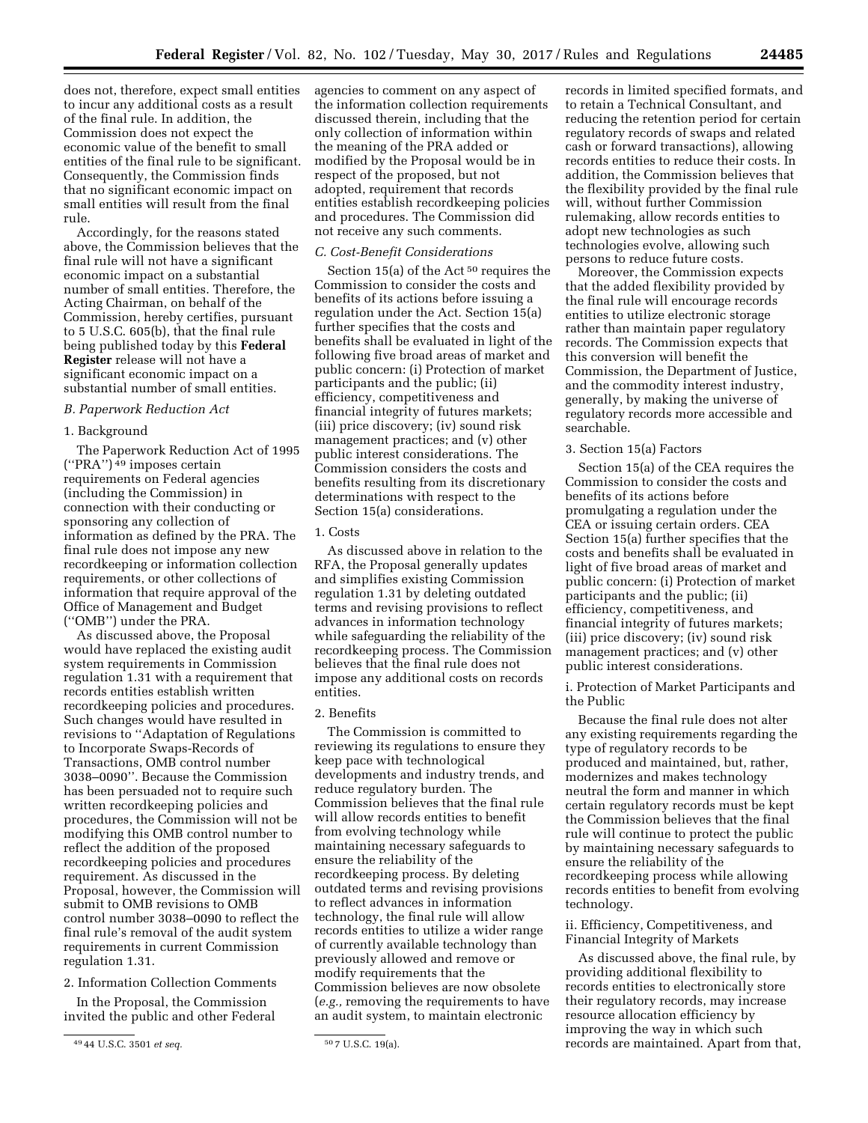does not, therefore, expect small entities to incur any additional costs as a result of the final rule. In addition, the Commission does not expect the economic value of the benefit to small entities of the final rule to be significant. Consequently, the Commission finds that no significant economic impact on small entities will result from the final rule.

Accordingly, for the reasons stated above, the Commission believes that the final rule will not have a significant economic impact on a substantial number of small entities. Therefore, the Acting Chairman, on behalf of the Commission, hereby certifies, pursuant to 5 U.S.C. 605(b), that the final rule being published today by this **Federal Register** release will not have a significant economic impact on a substantial number of small entities.

# *B. Paperwork Reduction Act*

# 1. Background

The Paperwork Reduction Act of 1995  $("PRA")^{\overline{49}}$  imposes certain requirements on Federal agencies (including the Commission) in connection with their conducting or sponsoring any collection of information as defined by the PRA. The final rule does not impose any new recordkeeping or information collection requirements, or other collections of information that require approval of the Office of Management and Budget (''OMB'') under the PRA.

As discussed above, the Proposal would have replaced the existing audit system requirements in Commission regulation 1.31 with a requirement that records entities establish written recordkeeping policies and procedures. Such changes would have resulted in revisions to ''Adaptation of Regulations to Incorporate Swaps-Records of Transactions, OMB control number 3038–0090''. Because the Commission has been persuaded not to require such written recordkeeping policies and procedures, the Commission will not be modifying this OMB control number to reflect the addition of the proposed recordkeeping policies and procedures requirement. As discussed in the Proposal, however, the Commission will submit to OMB revisions to OMB control number 3038–0090 to reflect the final rule's removal of the audit system requirements in current Commission regulation 1.31.

## 2. Information Collection Comments

In the Proposal, the Commission invited the public and other Federal agencies to comment on any aspect of the information collection requirements discussed therein, including that the only collection of information within the meaning of the PRA added or modified by the Proposal would be in respect of the proposed, but not adopted, requirement that records entities establish recordkeeping policies and procedures. The Commission did not receive any such comments.

## *C. Cost-Benefit Considerations*

Section 15(a) of the Act 50 requires the Commission to consider the costs and benefits of its actions before issuing a regulation under the Act. Section 15(a) further specifies that the costs and benefits shall be evaluated in light of the following five broad areas of market and public concern: (i) Protection of market participants and the public; (ii) efficiency, competitiveness and financial integrity of futures markets; (iii) price discovery; (iv) sound risk management practices; and (v) other public interest considerations. The Commission considers the costs and benefits resulting from its discretionary determinations with respect to the Section 15(a) considerations.

# 1. Costs

As discussed above in relation to the RFA, the Proposal generally updates and simplifies existing Commission regulation 1.31 by deleting outdated terms and revising provisions to reflect advances in information technology while safeguarding the reliability of the recordkeeping process. The Commission believes that the final rule does not impose any additional costs on records entities.

## 2. Benefits

The Commission is committed to reviewing its regulations to ensure they keep pace with technological developments and industry trends, and reduce regulatory burden. The Commission believes that the final rule will allow records entities to benefit from evolving technology while maintaining necessary safeguards to ensure the reliability of the recordkeeping process. By deleting outdated terms and revising provisions to reflect advances in information technology, the final rule will allow records entities to utilize a wider range of currently available technology than previously allowed and remove or modify requirements that the Commission believes are now obsolete (*e.g.,* removing the requirements to have an audit system, to maintain electronic

records in limited specified formats, and to retain a Technical Consultant, and reducing the retention period for certain regulatory records of swaps and related cash or forward transactions), allowing records entities to reduce their costs. In addition, the Commission believes that the flexibility provided by the final rule will, without further Commission rulemaking, allow records entities to adopt new technologies as such technologies evolve, allowing such persons to reduce future costs.

Moreover, the Commission expects that the added flexibility provided by the final rule will encourage records entities to utilize electronic storage rather than maintain paper regulatory records. The Commission expects that this conversion will benefit the Commission, the Department of Justice, and the commodity interest industry, generally, by making the universe of regulatory records more accessible and searchable.

## 3. Section 15(a) Factors

Section 15(a) of the CEA requires the Commission to consider the costs and benefits of its actions before promulgating a regulation under the CEA or issuing certain orders. CEA Section 15(a) further specifies that the costs and benefits shall be evaluated in light of five broad areas of market and public concern: (i) Protection of market participants and the public; (ii) efficiency, competitiveness, and financial integrity of futures markets; (iii) price discovery; (iv) sound risk management practices; and (v) other public interest considerations.

i. Protection of Market Participants and the Public

Because the final rule does not alter any existing requirements regarding the type of regulatory records to be produced and maintained, but, rather, modernizes and makes technology neutral the form and manner in which certain regulatory records must be kept the Commission believes that the final rule will continue to protect the public by maintaining necessary safeguards to ensure the reliability of the recordkeeping process while allowing records entities to benefit from evolving technology.

ii. Efficiency, Competitiveness, and Financial Integrity of Markets

As discussed above, the final rule, by providing additional flexibility to records entities to electronically store their regulatory records, may increase resource allocation efficiency by improving the way in which such records are maintained. Apart from that,

<sup>49</sup> 44 U.S.C. 3501 *et seq.* 50 7 U.S.C. 19(a).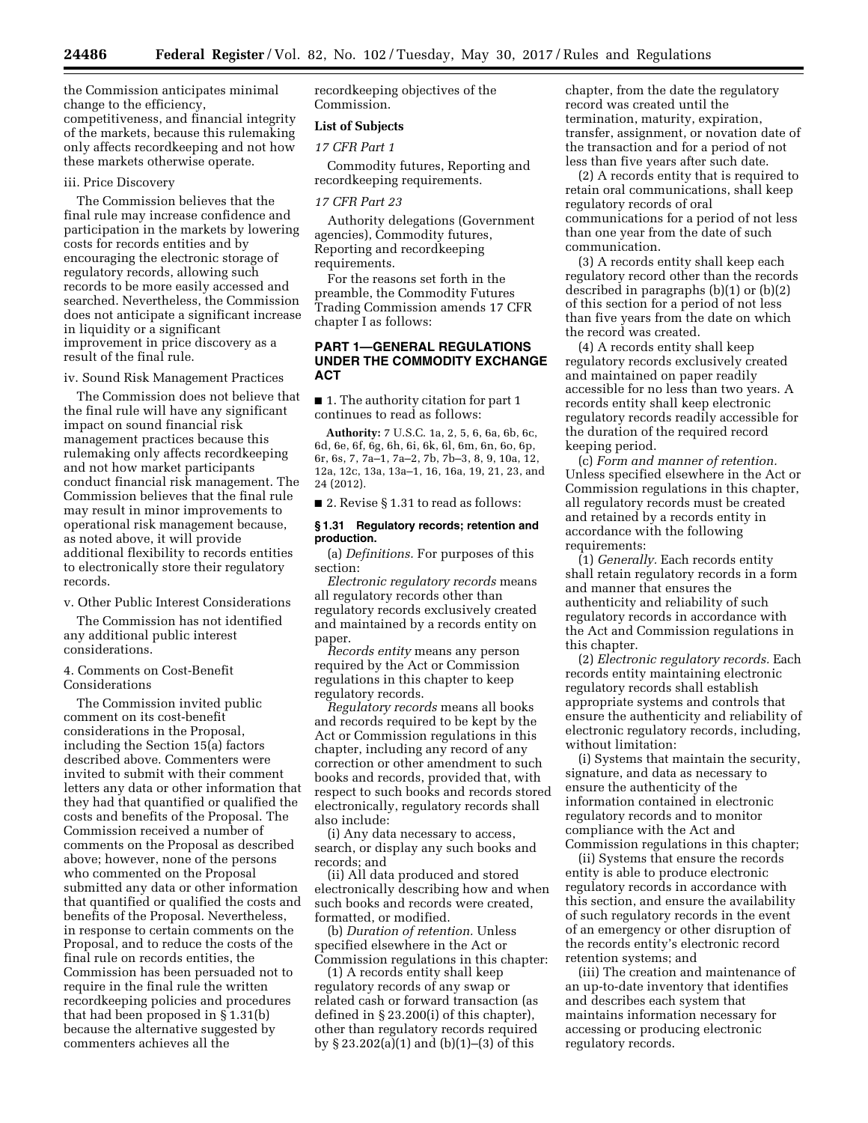the Commission anticipates minimal change to the efficiency, competitiveness, and financial integrity of the markets, because this rulemaking only affects recordkeeping and not how these markets otherwise operate.

#### iii. Price Discovery

The Commission believes that the final rule may increase confidence and participation in the markets by lowering costs for records entities and by encouraging the electronic storage of regulatory records, allowing such records to be more easily accessed and searched. Nevertheless, the Commission does not anticipate a significant increase in liquidity or a significant improvement in price discovery as a result of the final rule.

iv. Sound Risk Management Practices

The Commission does not believe that the final rule will have any significant impact on sound financial risk management practices because this rulemaking only affects recordkeeping and not how market participants conduct financial risk management. The Commission believes that the final rule may result in minor improvements to operational risk management because, as noted above, it will provide additional flexibility to records entities to electronically store their regulatory records.

v. Other Public Interest Considerations

The Commission has not identified any additional public interest considerations.

4. Comments on Cost-Benefit Considerations

The Commission invited public comment on its cost-benefit considerations in the Proposal, including the Section 15(a) factors described above. Commenters were invited to submit with their comment letters any data or other information that they had that quantified or qualified the costs and benefits of the Proposal. The Commission received a number of comments on the Proposal as described above; however, none of the persons who commented on the Proposal submitted any data or other information that quantified or qualified the costs and benefits of the Proposal. Nevertheless, in response to certain comments on the Proposal, and to reduce the costs of the final rule on records entities, the Commission has been persuaded not to require in the final rule the written recordkeeping policies and procedures that had been proposed in § 1.31(b) because the alternative suggested by commenters achieves all the

recordkeeping objectives of the Commission.

# **List of Subjects**

## *17 CFR Part 1*

Commodity futures, Reporting and recordkeeping requirements.

#### *17 CFR Part 23*

Authority delegations (Government agencies), Commodity futures, Reporting and recordkeeping requirements.

For the reasons set forth in the preamble, the Commodity Futures Trading Commission amends 17 CFR chapter I as follows:

## **PART 1—GENERAL REGULATIONS UNDER THE COMMODITY EXCHANGE ACT**

■ 1. The authority citation for part 1 continues to read as follows:

**Authority:** 7 U.S.C. 1a, 2, 5, 6, 6a, 6b, 6c, 6d, 6e, 6f, 6g, 6h, 6i, 6k, 6l, 6m, 6n, 6o, 6p, 6r, 6s, 7, 7a–1, 7a–2, 7b, 7b–3, 8, 9, 10a, 12, 12a, 12c, 13a, 13a–1, 16, 16a, 19, 21, 23, and 24 (2012).

■ 2. Revise § 1.31 to read as follows:

#### **§ 1.31 Regulatory records; retention and production.**

(a) *Definitions.* For purposes of this section:

*Electronic regulatory records* means all regulatory records other than regulatory records exclusively created and maintained by a records entity on paper.

*Records entity* means any person required by the Act or Commission regulations in this chapter to keep regulatory records.

*Regulatory records* means all books and records required to be kept by the Act or Commission regulations in this chapter, including any record of any correction or other amendment to such books and records, provided that, with respect to such books and records stored electronically, regulatory records shall also include:

(i) Any data necessary to access, search, or display any such books and records; and

(ii) All data produced and stored electronically describing how and when such books and records were created, formatted, or modified.

(b) *Duration of retention.* Unless specified elsewhere in the Act or Commission regulations in this chapter:

(1) A records entity shall keep regulatory records of any swap or related cash or forward transaction (as defined in § 23.200(i) of this chapter), other than regulatory records required by § 23.202(a)(1) and (b)(1)–(3) of this

chapter, from the date the regulatory record was created until the termination, maturity, expiration, transfer, assignment, or novation date of the transaction and for a period of not less than five years after such date.

(2) A records entity that is required to retain oral communications, shall keep regulatory records of oral communications for a period of not less than one year from the date of such communication.

(3) A records entity shall keep each regulatory record other than the records described in paragraphs (b)(1) or (b)(2) of this section for a period of not less than five years from the date on which the record was created.

(4) A records entity shall keep regulatory records exclusively created and maintained on paper readily accessible for no less than two years. A records entity shall keep electronic regulatory records readily accessible for the duration of the required record keeping period.

(c) *Form and manner of retention.*  Unless specified elsewhere in the Act or Commission regulations in this chapter, all regulatory records must be created and retained by a records entity in accordance with the following requirements:

(1) *Generally.* Each records entity shall retain regulatory records in a form and manner that ensures the authenticity and reliability of such regulatory records in accordance with the Act and Commission regulations in this chapter.

(2) *Electronic regulatory records.* Each records entity maintaining electronic regulatory records shall establish appropriate systems and controls that ensure the authenticity and reliability of electronic regulatory records, including, without limitation:

(i) Systems that maintain the security, signature, and data as necessary to ensure the authenticity of the information contained in electronic regulatory records and to monitor compliance with the Act and Commission regulations in this chapter;

(ii) Systems that ensure the records entity is able to produce electronic regulatory records in accordance with this section, and ensure the availability of such regulatory records in the event of an emergency or other disruption of the records entity's electronic record retention systems; and

(iii) The creation and maintenance of an up-to-date inventory that identifies and describes each system that maintains information necessary for accessing or producing electronic regulatory records.